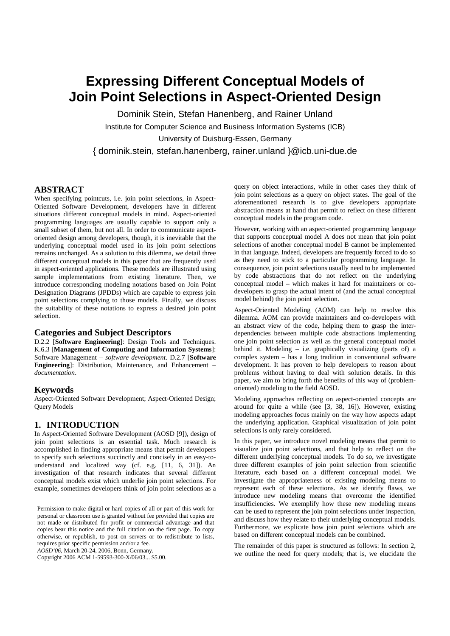# **Expressing Different Conceptual Models of Join Point Selections in Aspect-Oriented Design**

Dominik Stein, Stefan Hanenberg, and Rainer Unland

Institute for Computer Science and Business Information Systems (ICB)

University of Duisburg-Essen, Germany

{ dominik.stein, stefan.hanenberg, rainer.unland }@icb.uni-due.de

# **ABSTRACT**

When specifying pointcuts, i.e. join point selections, in Aspect-Oriented Software Development, developers have in different situations different conceptual models in mind. Aspect-oriented programming languages are usually capable to support only a small subset of them, but not all. In order to communicate aspectoriented design among developers, though, it is inevitable that the underlying conceptual model used in its join point selections remains unchanged. As a solution to this dilemma, we detail three different conceptual models in this paper that are frequently used in aspect-oriented applications. These models are illustrated using sample implementations from existing literature. Then, we introduce corresponding modeling notations based on Join Point Designation Diagrams (JPDDs) which are capable to express join point selections complying to those models. Finally, we discuss the suitability of these notations to express a desired join point selection.

## **Categories and Subject Descriptors**

D.2.2 [**Software Engineering**]: Design Tools and Techniques. K.6.3 [**Management of Computing and Information Systems**]: Software Management – *software development*. D.2.7 [**Software Engineering**]: Distribution, Maintenance, and Enhancement – *documentation*.

## **Keywords**

Aspect-Oriented Software Development; Aspect-Oriented Design; Query Models

## **1. INTRODUCTION**

In Aspect-Oriented Software Development (AOSD [9]), design of join point selections is an essential task. Much research is accomplished in finding appropriate means that permit developers to specify such selections succinctly and concisely in an easy-tounderstand and localized way (cf. e.g. [11, 6, 31]). An investigation of that research indicates that several different conceptual models exist which underlie join point selections. For example, sometimes developers think of join point selections as a

*AOSD'06*, March 20-24, 2006, Bonn, Germany.

Copyright 2006 ACM 1-59593-300-X/06/03... \$5.00.

query on object interactions, while in other cases they think of join point selections as a query on object states. The goal of the aforementioned research is to give developers appropriate abstraction means at hand that permit to reflect on these different conceptual models in the program code.

However, working with an aspect-oriented programming language that supports conceptual model A does not mean that join point selections of another conceptual model B cannot be implemented in that language. Indeed, developers are frequently forced to do so as they need to stick to a particular programming language. In consequence, join point selections usually need to be implemented by code abstractions that do not reflect on the underlying conceptual model – which makes it hard for maintainers or codevelopers to grasp the actual intent of (and the actual conceptual model behind) the join point selection.

Aspect-Oriented Modeling (AOM) can help to resolve this dilemma. AOM can provide maintainers and co-developers with an abstract view of the code, helping them to grasp the interdependencies between multiple code abstractions implementing one join point selection as well as the general conceptual model behind it. Modeling – i.e. graphically visualizing (parts of) a complex system – has a long tradition in conventional software development. It has proven to help developers to reason about problems without having to deal with solution details. In this paper, we aim to bring forth the benefits of this way of (problemoriented) modeling to the field AOSD.

Modeling approaches reflecting on aspect-oriented concepts are around for quite a while (see [3, 38, 16]). However, existing modeling approaches focus mainly on the way how aspects adapt the underlying application. Graphical visualization of join point selections is only rarely considered.

In this paper, we introduce novel modeling means that permit to visualize join point selections, and that help to reflect on the different underlying conceptual models. To do so, we investigate three different examples of join point selection from scientific literature, each based on a different conceptual model. We investigate the appropriateness of existing modeling means to represent each of these selections. As we identify flaws, we introduce new modeling means that overcome the identified insufficiencies. We exemplify how these new modeling means can be used to represent the join point selections under inspection, and discuss how they relate to their underlying conceptual models. Furthermore, we explicate how join point selections which are based on different conceptual models can be combined.

The remainder of this paper is structured as follows: In section 2, we outline the need for query models; that is, we elucidate the

Permission to make digital or hard copies of all or part of this work for personal or classroom use is granted without fee provided that copies are not made or distributed for profit or commercial advantage and that copies bear this notice and the full citation on the first page. To copy otherwise, or republish, to post on servers or to redistribute to lists, requires prior specific permission and/or a fee.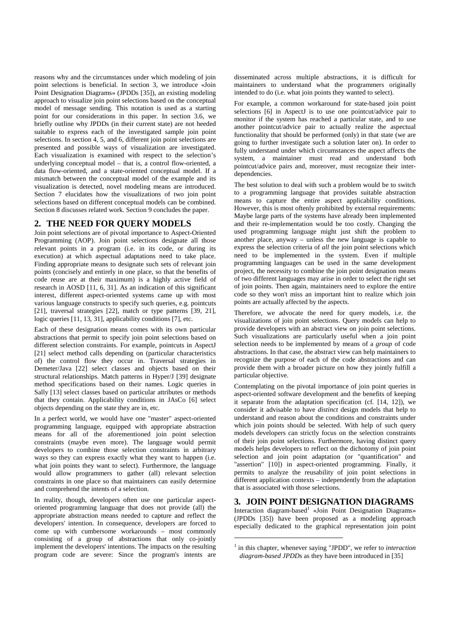reasons why and the circumstances under which modeling of join point selections is beneficial. In section 3, we introduce «Join Point Designation Diagrams» (JPDDs [35]), an existing modeling approach to visualize join point selections based on the conceptual model of message sending. This notation is used as a starting point for our considerations in this paper. In section 3.6, we briefly outline why JPDDs (in their current state) are not heeded suitable to express each of the investigated sample join point selections. In section 4, 5, and 6, different join point selections are presented and possible ways of visualization are investigated. Each visualization is examined with respect to the selection's underlying conceptual model – that is, a control flow-oriented, a data flow-oriented, and a state-oriented conceptual model. If a mismatch between the conceptual model of the example and its visualization is detected, novel modeling means are introduced. Section 7 elucidates how the visualizations of two join point selections based on different conceptual models can be combined. Section 8 discusses related work. Section 9 concludes the paper.

# **2. THE NEED FOR QUERY MODELS**

Join point selections are of pivotal importance to Aspect-Oriented Programming (AOP). Join point selections designate all those relevant points in a program (i.e. in its code, or during its execution) at which aspectual adaptations need to take place. Finding appropriate means to designate such sets of relevant join points (concisely and entirely in one place, so that the benefits of code reuse are at their maximum) is a highly active field of research in AOSD [11, 6, 31]. As an indication of this significant interest, different aspect-oriented systems came up with most various language constructs to specify such queries, e.g. pointcuts [21], traversal strategies [22], match or type patterns [39, 21], logic queries [11, 13, 31], applicability conditions [7], etc.

Each of these designation means comes with its own particular abstractions that permit to specify join point selections based on different selection constraints. For example, pointcuts in AspectJ [21] select method calls depending on (particular characteristics of) the control flow they occur in. Traversal strategies in Demeter/Java [22] select classes and objects based on their structural relationships. Match patterns in Hyper/J [39] designate method specifications based on their names. Logic queries in Sally [13] select classes based on particular attributes or methods that they contain. Applicability conditions in JAsCo [6] select objects depending on the state they are in, etc.

In a perfect world, we would have one "master" aspect-oriented programming language, equipped with appropriate abstraction means for all of the aforementioned join point selection constraints (maybe even more). The language would permit developers to combine those selection constraints in arbitrary ways so they can express exactly what they want to happen (i.e. what join points they want to select). Furthermore, the language would allow programmers to gather (all) relevant selection constraints in one place so that maintainers can easily determine and comprehend the intents of a selection.

In reality, though, developers often use one particular aspectoriented programming language that does not provide (all) the appropriate abstraction means needed to capture and reflect the developers' intention. In consequence, developers are forced to come up with cumbersome workarounds – most commonly consisting of a group of abstractions that only co-jointly implement the developers' intentions. The impacts on the resulting program code are severe: Since the program's intents are disseminated across multiple abstractions, it is difficult for maintainers to understand what the programmers originally intended to do (i.e. what join points they wanted to select).

For example, a common workaround for state-based join point selections [6] in AspectJ is to use one pointcut/advice pair to monitor if the system has reached a particular state, and to use another pointcut/advice pair to actually realize the aspectual functionality that should be performed (only) in that state (we are going to further investigate such a solution later on). In order to fully understand under which circumstances the aspect affects the system, a maintainer must read and understand both pointcut/advice pairs and, moreover, must recognize their interdependencies.

The best solution to deal with such a problem would be to switch to a programming language that provides suitable abstraction means to capture the entire aspect applicability conditions. However, this is most oftenly prohibited by external requirements: Maybe large parts of the systems have already been implemented and their re-implementation would be too costly. Changing the used programming language might just shift the problem to another place, anyway – unless the new language is capable to express the selection criteria of *all* the join point selections which need to be implemented in the system. Even if multiple programming languages can be used in the same development project, the necessity to combine the join point designation means of two different languages may arise in order to select the right set of join points. Then again, maintainers need to explore the entire code so they won't miss an important hint to realize which join points are actually affected by the aspects.

Therefore, we advocate the need for query models, i.e. the visualizations of join point selections. Query models can help to provide developers with an abstract view on join point selections. Such visualizations are particularly useful when a join point selection needs to be implemented by means of a *group* of code abstractions. In that case, the abstract view can help maintainers to recognize the purpose of each of the code abstractions and can provide them with a broader picture on how they jointly fulfill a particular objective.

Contemplating on the pivotal importance of join point queries in aspect-oriented software development and the benefits of keeping it separate from the adaptation specification (cf. [14, 12]), we consider it advisable to have *distinct* design models that help to understand and reason about the conditions and constraints under which join points should be selected. With help of such query models developers can strictly focus on the selection constraints of their join point selections. Furthermore, having distinct query models helps developers to reflect on the dichotomy of join point selection and join point adaptation (or "quantification" and "assertion" [10]) in aspect-oriented programming. Finally, it permits to analyze the reusability of join point selections in different application contexts – independently from the adaptation that is associated with those selections.

## **3. JOIN POINT DESIGNATION DIAGRAMS**

Interaction diagram-based<sup>1</sup> «Join Point Designation Diagrams» (JPDDs [35]) have been proposed as a modeling approach especially dedicated to the graphical representation join point

j

<sup>&</sup>lt;sup>1</sup> in this chapter, whenever saying "JPDD", we refer to *interaction diagram-based JPDDs* as they have been introduced in [35]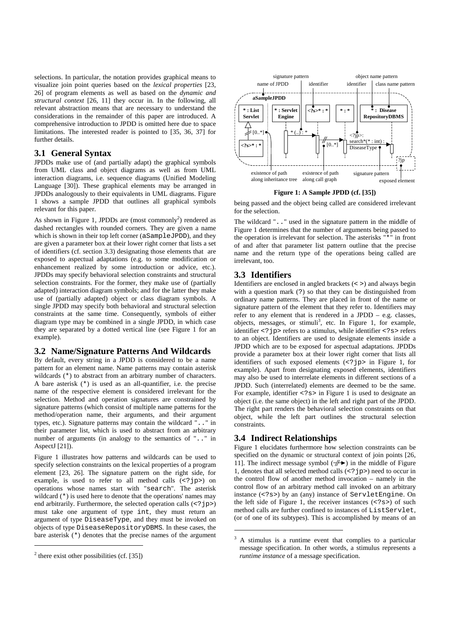selections. In particular, the notation provides graphical means to visualize join point queries based on the *lexical properties* [23, 26] of program elements as well as based on the *dynamic and structural context* [26, 11] they occur in. In the following, all relevant abstraction means that are necessary to understand the considerations in the remainder of this paper are introduced. A comprehensive introduction to JPDD is omitted here due to space limitations. The interested reader is pointed to [35, 36, 37] for further details.

# **3.1 General Syntax**

JPDDs make use of (and partially adapt) the graphical symbols from UML class and object diagrams as well as from UML interaction diagrams, i.e. sequence diagrams (Unified Modeling Language [30]). These graphical elements may be arranged in JPDDs analogously to their equivalents in UML diagrams. Figure 1 shows a sample JPDD that outlines all graphical symbols relevant for this paper.

As shown in Figure 1, JPDDs are (most commonly<sup>2</sup>) rendered as dashed rectangles with rounded corners. They are given a name which is shown in their top left corner (aSampleJPDD), and they are given a parameter box at their lower right corner that lists a set of identifiers (cf. section 3.3) designating those elements that are exposed to aspectual adaptations (e.g. to some modification or enhancement realized by some introduction or advice, etc.). JPDDs may specify behavioral selection constraints and structural selection constraints. For the former, they make use of (partially adapted) interaction diagram symbols; and for the latter they make use of (partially adapted) object or class diagram symbols. A single JPDD may specify both behavioral and structural selection constraints at the same time. Consequently, symbols of either diagram type may be combined in a single JPDD, in which case they are separated by a dotted vertical line (see Figure 1 for an example).

#### **3.2 Name/Signature Patterns And Wildcards**

By default, every string in a JPDD is considered to be a name pattern for an element name. Name patterns may contain asterisk wildcards (\*) to abstract from an arbitrary number of characters. A bare asterisk (\*) is used as an all-quantifier, i.e. the precise name of the respective element is considered irrelevant for the selection. Method and operation signatures are constrained by signature patterns (which consist of multiple name patterns for the method/operation name, their arguments, and their argument types, etc.). Signature patterns may contain the wildcard ".." in their parameter list, which is used to abstract from an arbitrary number of arguments (in analogy to the semantics of ".." in AspectJ [21]).

Figure 1 illustrates how patterns and wildcards can be used to specify selection constraints on the lexical properties of a program element [23, 26]. The signature pattern on the right side, for example, is used to refer to all method calls (<?jp>) on operations whose names start with "search". The asterisk wildcard  $(*)$  is used here to denote that the operations' names may end arbitrarily. Furthermore, the selected operation calls  $(\leq$ ?jp>) must take one argument of type int, they must return an argument of type DiseaseType, and they must be invoked on objects of type DiseaseRepositoryDBMS. In these cases, the bare asterisk (\*) denotes that the precise names of the argument

-



**Figure 1: A Sample JPDD (cf. [35])**

being passed and the object being called are considered irrelevant for the selection.

The wildcard ".." used in the signature pattern in the middle of Figure 1 determines that the number of arguments being passed to the operation is irrelevant for selection. The asterisks "\*" in front of and after that parameter list pattern outline that the precise name and the return type of the operations being called are irrelevant, too.

## **3.3 Identifiers**

Identifiers are enclosed in angled brackets (< >) and always begin with a question mark (?) so that they can be distinguished from ordinary name patterns. They are placed in front of the name or signature pattern of the element that they refer to. Identifiers may refer to any element that is rendered in a JPDD – e.g. classes, objects, messages, or stimuli<sup>3</sup>, etc. In Figure 1, for example, identifier  $\langle$ ?  $p$  > refers to a stimulus, while identifier  $\langle$ ? s > refers to an object. Identifiers are used to designate elements inside a JPDD which are to be exposed for aspectual adaptations. JPDDs provide a parameter box at their lower right corner that lists all identifiers of such exposed elements  $\langle \langle \cdot \rangle$  =  $\rangle$  in Figure 1, for example). Apart from designating exposed elements, identifiers may also be used to interrelate elements in different sections of a JPDD. Such (interrelated) elements are deemed to be the same. For example, identifier <?s> in Figure 1 is used to designate an object (i.e. the same object) in the left and right part of the JPDD. The right part renders the behavioral selection constraints on that object, while the left part outlines the structural selection constraints.

## **3.4 Indirect Relationships**

 $\overline{a}$ 

Figure 1 elucidates furthermore how selection constraints can be specified on the dynamic or structural context of join points [26, 11]. The indirect message symbol  $(\# \blacktriangleright)$  in the middle of Figure 1, denotes that all selected method calls (<?jp>) need to occur in the control flow of another method invocation – namely in the control flow of an arbitrary method call invoked on an arbitrary instance (<?s>) by an (any) instance of ServletEngine. On the left side of Figure 1, the receiver instances (<?s>) of such method calls are further confined to instances of ListServlet, (or of one of its subtypes). This is accomplished by means of an

 $2$  there exist other possibilities (cf. [35])

 $3$  A stimulus is a runtime event that complies to a particular message specification. In other words, a stimulus represents a *runtime instance* of a message specification.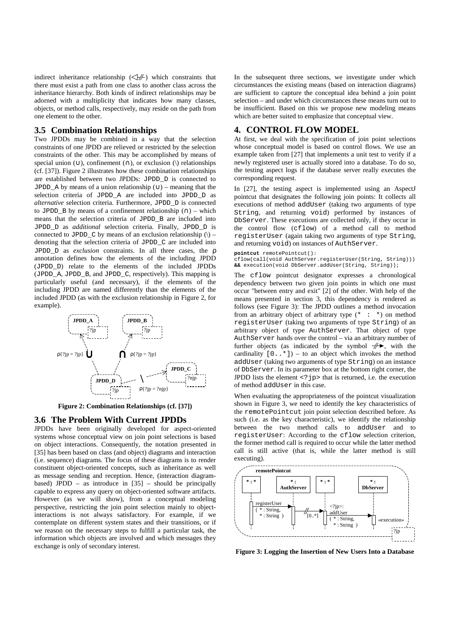indirect inheritance relationship  $(\leq \neq \neq)$  which constraints that there must exist a path from one class to another class across the inheritance hierarchy. Both kinds of indirect relationships may be adorned with a multiplicity that indicates how many classes, objects, or method calls, respectively, may reside on the path from one element to the other.

#### **3.5 Combination Relationships**

Two JPDDs may be combined in a way that the selection constraints of one JPDD are relieved or restricted by the selection constraints of the other. This may be accomplished by means of special union (∪), confinement (∩), or exclusion ( $\langle$ ) relationships (cf. [37]). Figure 2 illustrates how these combination relationships are established between two JPDDs: JPDD\_D is connected to JPDD A by means of a union relationship (∪) – meaning that the selection criteria of JPDD\_A are included into JPDD\_D as *alternative* selection criteria. Furthermore, JPDD\_D is connected to JPDD\_B by means of a confinement relationship  $(∩)$  – which means that the selection criteria of JPDD\_B are included into JPDD\_D as *additional* selection criteria. Finally, JPDD\_D is connected to JPDD\_C by means of an exclusion relationship  $(\rangle)$  – denoting that the selection criteria of JPDD\_C are included into JPDD\_D as *exclusion* constraints. In all three cases, the ρ annotation defines how the elements of the including JPDD (JPDD\_D) relate to the elements of the included JPDDs (JPDD\_A, JPDD\_B, and JPDD\_C, respectively). This mapping is particularly useful (and necessary), if the elements of the including JPDD are named differently than the elements of the included JPDD (as with the exclusion relationship in Figure 2, for example).



**Figure 2: Combination Relationships (cf. [37])**

#### **3.6 The Problem With Current JPDDs**

JPDDs have been originally developed for aspect-oriented systems whose conceptual view on join point selections is based on object interactions. Consequently, the notation presented in [35] has been based on class (and object) diagrams and interaction (i.e. sequence) diagrams. The focus of these diagrams is to render constituent object-oriented concepts, such as inheritance as well as message sending and reception. Hence, (interaction diagrambased) JPDD – as introduce in  $[35]$  – should be principally capable to express any query on object-oriented software artifacts. However (as we will show), from a conceptual modeling perspective, restricting the join point selection mainly to objectinteractions is not always satisfactory. For example, if we contemplate on different system states and their transitions, or if we reason on the necessary steps to fulfill a particular task, the information which objects are involved and which messages they exchange is only of secondary interest.

In the subsequent three sections, we investigate under which circumstances the existing means (based on interaction diagrams) are sufficient to capture the conceptual idea behind a join point selection – and under which circumstances these means turn out to be insufficient. Based on this we propose new modeling means which are better suited to emphasize that conceptual view.

## **4. CONTROL FLOW MODEL**

At first, we deal with the specification of join point selections whose conceptual model is based on control flows. We use an example taken from [27] that implements a unit test to verify if a newly registered user is actually stored into a database. To do so, the testing aspect logs if the database server really executes the corresponding request.

In [27], the testing aspect is implemented using an AspectJ pointcut that designates the following join points: It collects all executions of method addUser (taking two arguments of type String, and returning void) performed by instances of DbServer. These executions are collected only, if they occur in the control flow (cflow) of a method call to method registerUser (again taking two arguments of type String, and returning void) on instances of AuthServer.

```
pointcut remotePointcut():
```
cflow(call(void AuthServer.registerUser(String, String))) **&&** execution(void DbServer.addUser(String, String));

The cflow pointcut designator expresses a chronological dependency between two given join points in which one must occur "between entry and exit" [2] of the other. With help of the means presented in section 3, this dependency is rendered as follows (see Figure 3): The JPDD outlines a method invocation from an arbitrary object of arbitrary type (\* : \*) on method registerUser (taking two arguments of type String) of an arbitrary object of type AuthServer. That object of type AuthServer hands over the control – via an arbitrary number of further objects (as indicated by the symbol  $\not$ , with the cardinality  $[0, \cdot^{\ast}]$  – to an object which invokes the method addUser (taking two arguments of type String) on an instance of DbServer. In its parameter box at the bottom right corner, the JPDD lists the element  $\langle$ ?  $p$  that is returned, i.e. the execution of method addUser in this case.

When evaluating the appropriateness of the pointcut visualization shown in Figure 3, we need to identify the key characteristics of the remotePointcut join point selection described before. As such (i.e. as the key characteristic), we identify the relationship between the two method calls to addUser and to registerUser: According to the cflow selection criterion, the former method call is required to occur while the latter method call is still active (that is, while the latter method is still executing).



**Figure 3: Logging the Insertion of New Users Into a Database**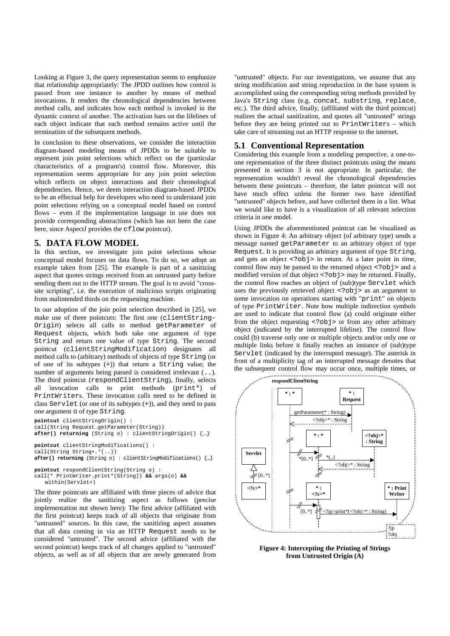Looking at Figure 3, the query representation seems to emphasize that relationship appropriately: The JPDD outlines how control is passed from one instance to another by means of method invocations. It renders the chronological dependencies between method calls, and indicates how each method is invoked in the dynamic context of another. The activation bars on the lifelines of each object indicate that each method remains active until the termination of the subsequent methods.

In conclusion to these observations, we consider the interaction diagram-based modeling means of JPDDs to be suitable to represent join point selections which reflect on the (particular characteristics of a program's) control flow. Moreover, this representation seems appropriate for any join point selection which reflects on object interactions and their chronological dependencies. Hence, we deem interaction diagram-based JPDDs to be an effectual help for developers who need to understand join point selections relying on a conceptual model based on control flows – even if the implementation language in use does not provide corresponding abstractions (which has not been the case here, since AspectJ provides the cflow pointcut).

# **5. DATA FLOW MODEL**

In this section, we investigate join point selections whose conceptual model focuses on data flows. To do so, we adopt an example taken from [25]. The example is part of a sanitizing aspect that quotes strings received from an untrusted party before sending them out to the HTTP stream. The goal is to avoid "crosssite scripting", i.e. the execution of malicious scripts originating from malintended thirds on the requesting machine.

In our adoption of the join point selection described in [25], we make use of three pointcuts: The first one (clientString-Origin) selects all calls to method getParameter of Request objects, which both take one argument of type String and return one value of type String. The second pointcut (clientStringModification) designates all method calls to (arbitrary) methods of objects of type String (or of one of its subtypes (+)) that return a String value; the number of arguments being passed is considered irrelevant  $($ ..). The third pointcut (respondClientString), finally, selects all invocation calls to print methods (print\*) of PrintWriters. These invocation calls need to be defined in class Servlet (or one of its subtypes (+)), and they need to pass one argument o of type String.

```
pointcut clientStringOrigin() :
call(String Request.getParameter(String))
after() returning (String o) : clientStringOrigin() {...}
pointcut clientStringModifications() :
call(String String+.*(..))
after() returning (String o) : clientStringModifications() {...}
pointcut respondClientString(String o) :
```

```
call(* PrintWriter.print*(String)) && args(o) && 
   within(Servlet+)
```
The three pointcuts are affiliated with three pieces of advice that jointly realize the sanitizing aspect as follows (precise implementation not shown here): The first advice (affiliated with the first pointcut) keeps track of all objects that originate from "untrusted" sources. In this case, the sanitizing aspect assumes that all data coming in via an HTTP Request needs to be considered "untrusted". The second advice (affiliated with the second pointcut) keeps track of all changes applied to "untrusted" objects, as well as of all objects that are newly generated from "untrusted" objects. For our investigations, we assume that any string modification and string reproduction in the base system is accomplished using the corresponding string methods provided by Java's String class (e.g. concat, substring, replace, etc.). The third advice, finally, (affiliated with the third pointcut) realizes the actual sanitization, and quotes all "untrusted" strings before they are being printed out to PrintWriters – which take care of streaming out an HTTP response to the internet.

#### **5.1 Conventional Representation**

Considering this example from a modeling perspective, a one-toone representation of the three distinct pointcuts using the means presented in section 3 is not appropriate. In particular, the representation wouldn't reveal the chronological dependencies between these pointcuts – therefore, the latter pointcut will not have much effect unless the former two have identified "untrusted" objects before, and have collected them in a list. What we would like to have is a visualization of all relevant selection criteria in *one* model.

Using JPDDs the aforementioned pointcut can be visualized as shown in Figure 4: An arbitrary object (of arbitrary type) sends a message named getParameter to an arbitrary object of type Request. It is providing an arbitrary argument of type String, and gets an object <?obj> in return. At a later point in time, control flow may be passed to the returned object <?obj> and a modified version of that object <?obj> may be returned. Finally, the control flow reaches an object of (sub)type Servlet which uses the previously retrieved object <?obj> as an argument to some invocation on operations starting with "print" on objects of type PrintWriter. Note how multiple indirection symbols are used to indicate that control flow (a) could originate either from the object requesting <?obj> or from any other arbitrary object (indicated by the interrupted lifeline). The control flow could (b) traverse only one or multiple objects and/or only one or multiple links before it finally reaches an instance of (sub)type Servlet (indicated by the interrupted message). The asterisk in front of a multiplicity tag of an interrupted message denotes that the subsequent control flow may occur once, multiple times, or



**Figure 4: Intercepting the Printing of Strings from Untrusted Origin (A)**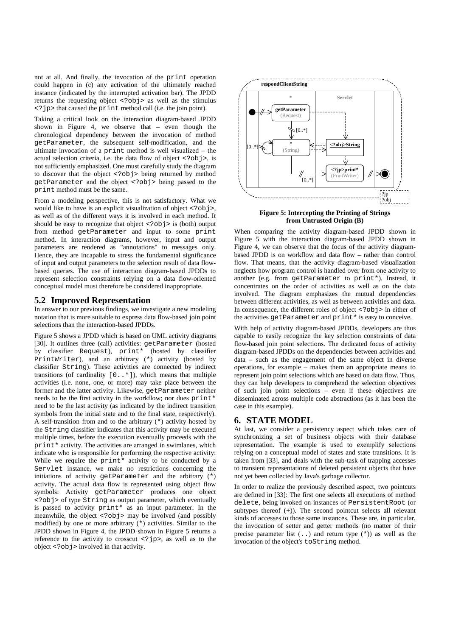not at all. And finally, the invocation of the print operation could happen in (c) any activation of the ultimately reached instance (indicated by the interrupted activation bar). The JPDD returns the requesting object <?obj> as well as the stimulus  $\langle$ ?  $\vert$  p> that caused the print method call (i.e. the join point).

Taking a critical look on the interaction diagram-based JPDD shown in Figure 4, we observe that – even though the chronological dependency between the invocation of method getParameter, the subsequent self-modification, and the ultimate invocation of a print method is well visualized – the actual selection criteria, i.e. the data flow of object <?obj>, is not sufficiently emphasized. One must carefully study the diagram to discover that the object <?obj> being returned by method getParameter and the object <?obj> being passed to the print method must be the same.

From a modeling perspective, this is not satisfactory. What we would like to have is an explicit visualization of object <?obj>, as well as of the different ways it is involved in each method. It should be easy to recognize that object  $\langle$ ? $\circ$ b $\overline{\phantom{\cdot}}\rangle$  is (both) output from method getParameter and input to some print method. In interaction diagrams, however, input and output parameters are rendered as "annotations" to messages only. Hence, they are incapable to stress the fundamental significance of input and output parameters to the selection result of data flowbased queries. The use of interaction diagram-based JPDDs to represent selection constraints relying on a data flow-oriented conceptual model must therefore be considered inappropriate.

## **5.2 Improved Representation**

In answer to our previous findings, we investigate a new modeling notation that is more suitable to express data flow-based join point selections than the interaction-based JPDDs.

Figure 5 shows a JPDD which is based on UML activity diagrams [30]. It outlines three (call) activities: getParameter (hosted by classifier Request), print\* (hosted by classifier PrintWriter), and an arbitrary (\*) activity (hosted by classifier String). These activities are connected by indirect transitions (of cardinality [0..\*]), which means that multiple activities (i.e. none, one, or more) may take place between the former and the latter activity. Likewise, getParameter neither needs to be the first activity in the workflow; nor does print\* need to be the last activity (as indicated by the indirect transition symbols from the initial state and to the final state, respectively). A self-transition from and to the arbitrary (\*) activity hosted by the String classifier indicates that this activity may be executed multiple times, before the execution eventually proceeds with the print\* activity. The activities are arranged in swimlanes, which indicate who is responsible for performing the respective activity: While we require the print<sup>\*</sup> activity to be conducted by a Servlet instance, we make no restrictions concerning the initiations of activity  $q$ etParameter and the arbitrary  $(*)$ activity. The actual data flow is represented using object flow symbols: Activity getParameter produces one object <?obj> of type String as output parameter, which eventually is passed to activity print\* as an input parameter. In the meanwhile, the object <?obj> may be involved (and possibly modified) by one or more arbitrary (\*) activities. Similar to the JPDD shown in Figure 4, the JPDD shown in Figure 5 returns a reference to the activity to crosscut  $\langle$ ? jp>, as well as to the object <?obj> involved in that activity.



**Figure 5: Intercepting the Printing of Strings from Untrusted Origin (B)**

When comparing the activity diagram-based JPDD shown in Figure 5 with the interaction diagram-based JPDD shown in Figure 4, we can observe that the focus of the activity diagrambased JPDD is on workflow and data flow – rather than control flow. That means, that the activity diagram-based visualization neglects how program control is handled over from one activity to another (e.g. from getParameter to print\*). Instead, it concentrates on the order of activities as well as on the data involved. The diagram emphasizes the mutual dependencies between different activities, as well as between activities and data. In consequence, the different roles of object <?obj> in either of the activities getParameter and print\* is easy to conceive.

With help of activity diagram-based JPDDs, developers are thus capable to easily recognize the key selection constraints of data flow-based join point selections. The dedicated focus of activity diagram-based JPDDs on the dependencies between activities and data – such as the engagement of the same object in diverse operations, for example – makes them an appropriate means to represent join point selections which are based on data flow. Thus, they can help developers to comprehend the selection objectives of such join point selections – even if these objectives are disseminated across multiple code abstractions (as it has been the case in this example).

# **6. STATE MODEL**

At last, we consider a persistency aspect which takes care of synchronizing a set of business objects with their database representation. The example is used to exemplify selections relying on a conceptual model of states and state transitions. It is taken from [33], and deals with the sub-task of trapping accesses to transient representations of deleted persistent objects that have not yet been collected by Java's garbage collector.

In order to realize the previously described aspect, two pointcuts are defined in [33]: The first one selects all executions of method delete, being invoked on instances of PersistentRoot (or subtypes thereof  $(+)$ ). The second pointcut selects all relevant kinds of accesses to those same instances. These are, in particular, the invocation of setter and getter methods (no matter of their precise parameter list  $( \cdot )$  and return type  $(*)$ ) as well as the invocation of the object's toString method.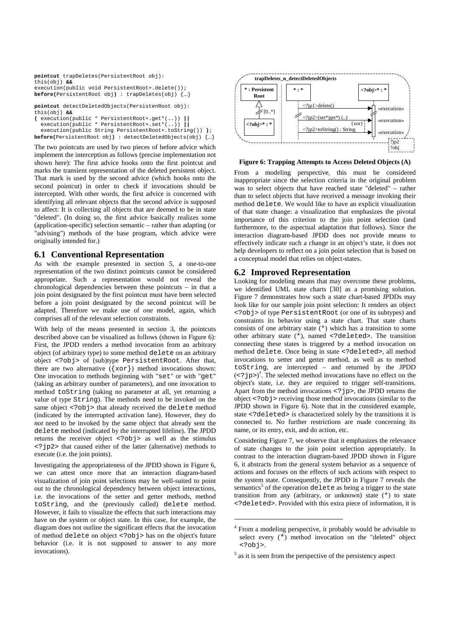```
pointcut trapDeletes(PersistentRoot obj):
this(obj) &&
execution(public void PersistentRoot+.delete());
before(PersistentRoot obj) : trapDeletes(obj) {...}
pointcut detectDeletedObjects(PersistenRoot obj):
this(obj) &&
( execution(public * PersistentRoot+.get*(..)) ||
   execution(public * PersistentRoot+.set*(..)) ||
```
 execution(public String PersistentRoot+.toString()) **)**; **before(**PersistentRoot obj**)** : detectDeletedObjects(obj) {...}

The two pointcuts are used by two pieces of before advice which implement the interception as follows (precise implementation not shown here): The first advice hooks onto the first pointcut and marks the transient representation of the deleted persistent object. That mark is used by the second advice (which hooks onto the second pointcut) in order to check if invocations should be intercepted. With other words, the first advice is concerned with identifying all relevant objects that the second advice is supposed to affect: It is collecting all objects that are deemed to be in state "deleted". (In doing so, the first advice basically realizes some (application-specific) selection semantic – rather than adapting (or "advising") methods of the base program, which advice were originally intended for.)

## **6.1 Conventional Representation**

As with the example presented in section 5, a one-to-one representation of the two distinct pointcuts cannot be considered appropriate. Such a representation would not reveal the chronological dependencies between these pointcuts – in that a join point designated by the first pointcut must have been selected before a join point designated by the second pointcut will be adapted. Therefore we make use of *one* model, again, which comprises all of the relevant selection constraints.

With help of the means presented in section 3, the pointcuts described above can be visualized as follows (shown in Figure 6): First, the JPDD renders a method invocation from an arbitrary object (of arbitrary type) to some method delete on an arbitrary object <?obj> of (sub)type PersistentRoot. After that, there are two alternative  $({xor})$  method invocations shown: One invocation to methods beginning with "set" or with "get" (taking an arbitrary number of parameters), and one invocation to method toString (taking no parameter at all, yet returning a value of type String). The methods need to be invoked on the same object <?obj> that already received the delete method (indicated by the interrupted activation lane). However, they do *not* need to be invoked by the same object that already sent the delete method (indicated by the interrupted lifeline). The JPDD returns the receiver object <?obj> as well as the stimulus <?jp2> that caused either of the latter (alternative) methods to execute (i.e. the join points).

Investigating the appropriateness of the JPDD shown in Figure 6, we can attest once more that an interaction diagram-based visualization of join point selections may be well-suited to point out to the chronological dependency between object interactions, i.e. the invocations of the setter and getter methods, method toString, and the (previously called) delete method. However, it fails to visualize the effects that such interactions may have on the system or object state. In this case, for example, the diagram does not outline the significant effects that the invocation of method delete on object <?obj> has on the object's future behavior (i.e. it is not supposed to answer to any more invocations).



**Figure 6: Trapping Attempts to Access Deleted Objects (A)**

From a modeling perspective, this must be considered inappropriate since the selection criteria in the original problem was to select objects that have reached state "deleted" – rather than to select objects that have received a message invoking their method delete. We would like to have an explicit visualization of that state change: a visualization that emphasizes the pivotal importance of this criterion to the join point selection (and furthermore, to the aspectual adaptation that follows). Since the interaction diagram-based JPDD does not provide means to effectively indicate such a change in an object's state, it does not help developers to reflect on a join point selection that is based on a conceptual model that relies on object-states.

## **6.2 Improved Representation**

Looking for modeling means that may overcome these problems, we identified UML state charts [30] as a promising solution. Figure 7 demonstrates how such a state chart-based JPDDs may look like for our sample join point selection: It renders an object <?obj> of type PersistentRoot (or one of its subtypes) and constraints its behavior using a state chart. That state charts consists of one arbitrary state (\*) which has a transition to some other arbitrary state (\*), named <?deleted>. The transition connecting these states is triggered by a method invocation on method delete. Once being in state <?deleted>, all method invocations to setter and getter method, as well as to method toString, are intercepted – and returned by the JPDD  $(\leq$ ? jp>)<sup>4</sup>. The selected method invocations have no effect on the object's state, i.e. they are required to trigger self-transitions. Apart from the method invocations <? jp>, the JPDD returns the object <?obj> receiving those method invocations (similar to the JPDD shown in Figure 6). Note that in the considered example, state <?deleted> is characterized solely by the transitions it is connected to. No further restrictions are made concerning its name, or its entry, exit, and do action, etc.

Considering Figure 7, we observe that it emphasizes the relevance of state changes to the join point selection appropriately. In contrast to the interaction diagram-based JPDD shown in Figure 6, it abstracts from the general system behavior as a sequence of actions and focuses on the effects of such actions with respect to the system state. Consequently, the JPDD in Figure 7 reveals the semantics<sup>5</sup> of the operation delete as being a trigger to the state transition from any (arbitrary, or unknown) state (\*) to state <?deleted>. Provided with this extra piece of information, it is

j

<sup>4</sup> From a modeling perspective, it probably would be advisable to select every (\*) method invocation on the "deleted" object <?obj>.

 $<sup>5</sup>$  as it is seen from the perspective of the persistency aspect</sup>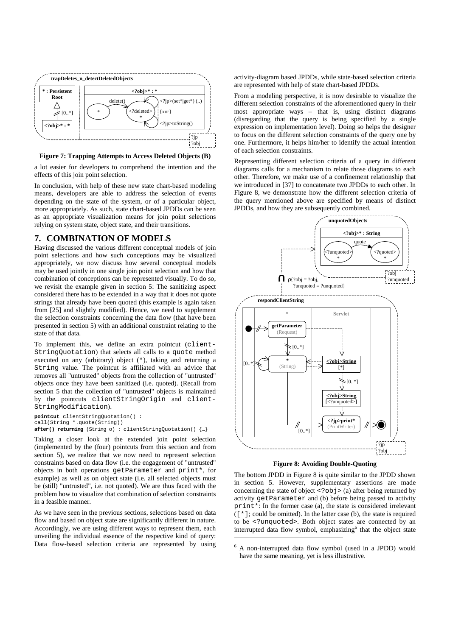

**Figure 7: Trapping Attempts to Access Deleted Objects (B)**

a lot easier for developers to comprehend the intention and the effects of this join point selection.

In conclusion, with help of these new state chart-based modeling means, developers are able to address the selection of events depending on the state of the system, or of a particular object, more appropriately. As such, state chart-based JPDDs can be seen as an appropriate visualization means for join point selections relying on system state, object state, and their transitions.

## **7. COMBINATION OF MODELS**

Having discussed the various different conceptual models of join point selections and how such conceptions may be visualized appropriately, we now discuss how several conceptual models may be used jointly in one single join point selection and how that combination of conceptions can be represented visually. To do so, we revisit the example given in section 5: The sanitizing aspect considered there has to be extended in a way that it does not quote strings that already have been quoted (this example is again taken from [25] and slightly modified). Hence, we need to supplement the selection constraints concerning the data flow (that have been presented in section 5) with an additional constraint relating to the state of that data.

To implement this, we define an extra pointcut (client-StringQuotation) that selects all calls to a quote method executed on any (arbitrary) object (\*), taking and returning a String value. The pointcut is affiliated with an advice that removes all "untrusted" objects from the collection of "untrusted" objects once they have been sanitized (i.e. quoted). (Recall from section 5 that the collection of "untrusted" objects is maintained by the pointcuts clientStringOrigin and client-StringModification).

```
pointcut clientStringQuotation() :
call(String *.quote(String))
after() returning (String o) : clientStringQuotation() {...}
```
Taking a closer look at the extended join point selection (implemented by the (four) pointcuts from this section and from section 5), we realize that we now need to represent selection constraints based on data flow (i.e. the engagement of "untrusted" objects in both operations getParameter and print\*, for example) as well as on object state (i.e. all selected objects must be (still) "untrusted", i.e. not quoted). We are thus faced with the problem how to visualize that combination of selection constraints in a feasible manner.

As we have seen in the previous sections, selections based on data flow and based on object state are significantly different in nature. Accordingly, we are using different ways to represent them, each unveiling the individual essence of the respective kind of query: Data flow-based selection criteria are represented by using

activity-diagram based JPDDs, while state-based selection criteria are represented with help of state chart-based JPDDs.

From a modeling perspective, it is now desirable to visualize the different selection constraints of the aforementioned query in their most appropriate ways – that is, using distinct diagrams (disregarding that the query is being specified by a single expression on implementation level). Doing so helps the designer to focus on the different selection constraints of the query one by one. Furthermore, it helps him/her to identify the actual intention of each selection constraints.

Representing different selection criteria of a query in different diagrams calls for a mechanism to relate those diagrams to each other. Therefore, we make use of a confinement relationship that we introduced in [37] to concatenate two JPDDs to each other. In Figure 8, we demonstrate how the different selection criteria of the query mentioned above are specified by means of distinct JPDDs, and how they are subsequently combined.



**Figure 8: Avoiding Double-Quoting**

The bottom JPDD in Figure 8 is quite similar to the JPDD shown in section 5. However, supplementary assertions are made concerning the state of object <?obj> (a) after being returned by activity getParameter and (b) before being passed to activity print\*: In the former case (a), the state is considered irrelevant  $([ * ]; \text{could be omitted}).$  In the latter case (b), the state is required to be <?unquoted>. Both object states are connected by an interrupted data flow symbol, emphasizing<sup>6</sup> that the object state

 $\overline{a}$ 

<sup>&</sup>lt;sup>6</sup> A non-interrupted data flow symbol (used in a JPDD) would have the same meaning, yet is less illustrative.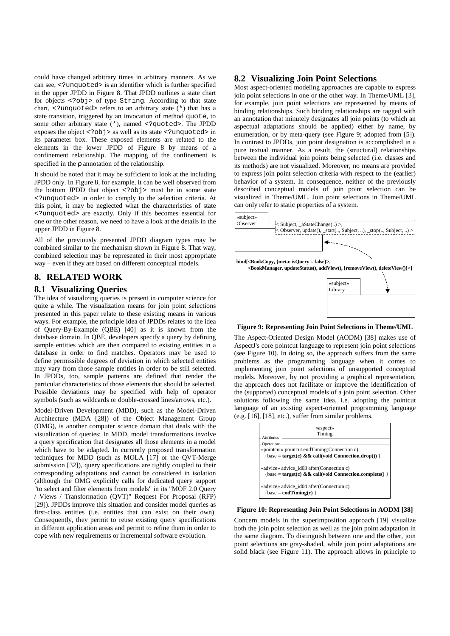could have changed arbitrary times in arbitrary manners. As we can see, <?unquoted> is an identifier which is further specified in the upper JPDD in Figure 8. That JPDD outlines a state chart for objects <?obj> of type String. According to that state chart, <?unquoted> refers to an arbitrary state (\*) that has a state transition, triggered by an invocation of method quote, to some other arbitrary state (\*), named <?quoted>. The JPDD exposes the object <?obj> as well as its state <?unquoted> in its parameter box. These exposed elements are related to the elements in the lower JPDD of Figure 8 by means of a confinement relationship. The mapping of the confinement is specified in the ρ annotation of the relationship.

It should be noted that it may be sufficient to look at the including JPDD only. In Figure 8, for example, it can be well observed from the bottom JPDD that object <?obj> must be in some state <?unquoted> in order to comply to the selection criteria. At this point, it may be neglected what the characteristics of state <?unquoted> are exactly. Only if this becomes essential for one or the other reason, we need to have a look at the details in the upper JPDD in Figure 8.

All of the previously presented JPDD diagram types may be combined similar to the mechanism shown in Figure 8. That way, combined selection may be represented in their most appropriate way – even if they are based on different conceptual models.

## **8. RELATED WORK**

#### **8.1 Visualizing Queries**

The idea of visualizing queries is present in computer science for quite a while. The visualization means for join point selections presented in this paper relate to these existing means in various ways. For example, the principle idea of JPDDs relates to the idea of Query-By-Example (QBE) [40] as it is known from the database domain. In QBE, developers specify a query by defining sample entities which are then compared to existing entities in a database in order to find matches. Operators may be used to define permissible degrees of deviation in which selected entities may vary from those sample entities in order to be still selected. In JPDDs, too, sample patterns are defined that render the particular characteristics of those elements that should be selected. Possible deviations may be specified with help of operator symbols (such as wildcards or double-crossed lines/arrows, etc.).

Model-Driven Development (MDD), such as the Model-Driven Architecture (MDA [28]) of the Object Management Group (OMG), is another computer science domain that deals with the visualization of queries: In MDD, model transformations involve a query specification that designates all those elements in a model which have to be adapted. In currently proposed transformation techniques for MDD (such as MOLA [17] or the QVT-Merge submission [32]), query specifications are tightly coupled to their corresponding adaptations and cannot be considered in isolation (although the OMG explicitly calls for dedicated query support "to select and filter elements from models" in its "MOF 2.0 Query / Views / Transformation (QVT)" Request For Proposal (RFP) [29]). JPDDs improve this situation and consider model queries as first-class entities (i.e. entities that can exist on their own). Consequently, they permit to reuse existing query specifications in different application areas and permit to refine them in order to cope with new requirements or incremental software evolution.

#### **8.2 Visualizing Join Point Selections**

Most aspect-oriented modeling approaches are capable to express join point selections in one or the other way. In Theme/UML [3], for example, join point selections are represented by means of binding relationships. Such binding relationships are tagged with an annotation that minutely designates all join points (to which an aspectual adaptations should be applied) either by name, by enumeration, or by meta-query (see Figure 9; adopted from [5]). In contrast to JPDDs, join point designation is accomplished in a pure textual manner. As a result, the (structural) relationships between the individual join points being selected (i.e. classes and its methods) are not visualized. Moreover, no means are provided to express join point selection criteria with respect to the (earlier) behavior of a system. In consequence, neither of the previously described conceptual models of join point selection can be visualized in Theme/UML. Join point selections in Theme/UML can only refer to static properties of a system.



#### **Figure 9: Representing Join Point Selections in Theme/UML**

The Aspect-Oriented Design Model (AODM) [38] makes use of AspectJ's core pointcut language to represent join point selections (see Figure 10). In doing so, the approach suffers from the same problems as the programming language when it comes to implementing join point selections of unsupported conceptual models. Moreover, by not providing a graphical representation, the approach does not facilitate or improve the identification of the (supported) conceptual models of a join point selection. Other solutions following the same idea, i.e. adopting the pointcut language of an existing aspect-oriented programming language (e.g. [16], [18], etc.), suffer from similar problems.



#### **Figure 10: Representing Join Point Selections in AODM [38]**

Concern models in the superimposition approach [19] visualize both the join point selection as well as the join point adaptation in the same diagram. To distinguish between one and the other, join point selections are gray-shaded, while join point adaptations are solid black (see Figure 11). The approach allows in principle to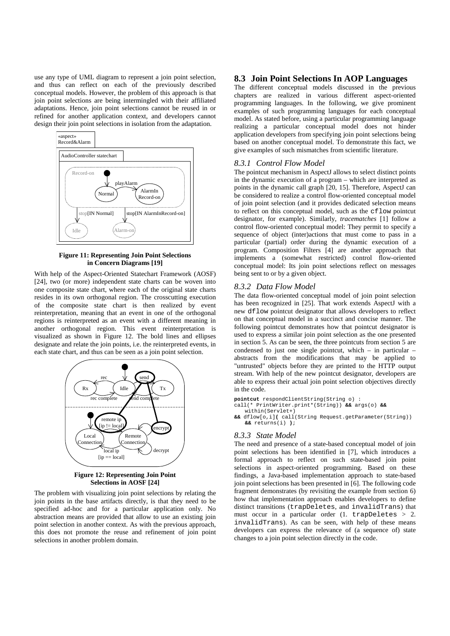use any type of UML diagram to represent a join point selection, and thus can reflect on each of the previously described conceptual models. However, the problem of this approach is that join point selections are being intermingled with their affiliated adaptations. Hence, join point selections cannot be reused in or refined for another application context, and developers cannot design their join point selections in isolation from the adaptation.



**Figure 11: Representing Join Point Selections in Concern Diagrams [19]**

With help of the Aspect-Oriented Statechart Framework (AOSF) [24], two (or more) independent state charts can be woven into one composite state chart, where each of the original state charts resides in its own orthogonal region. The crosscutting execution of the composite state chart is then realized by event reinterpretation, meaning that an event in one of the orthogonal regions is reinterpreted as an event with a different meaning in another orthogonal region. This event reinterpretation is visualized as shown in Figure 12. The bold lines and ellipses designate and relate the join points, i.e. the reinterpreted events, in each state chart, and thus can be seen as a join point selection.



**Figure 12: Representing Join Point Selections in AOSF [24]**

The problem with visualizing join point selections by relating the join points in the base artifacts directly, is that they need to be specified ad-hoc and for a particular application only. No abstraction means are provided that allow to use an existing join point selection in another context. As with the previous approach, this does not promote the reuse and refinement of join point selections in another problem domain.

# **8.3 Join Point Selections In AOP Languages**

The different conceptual models discussed in the previous chapters are realized in various different aspect-oriented programming languages. In the following, we give prominent examples of such programming languages for each conceptual model. As stated before, using a particular programming language realizing a particular conceptual model does not hinder application developers from specifying join point selections being based on another conceptual model. To demonstrate this fact, we give examples of such mismatches from scientific literature.

#### *8.3.1 Control Flow Model*

The pointcut mechanism in AspectJ allows to select distinct points in the dynamic execution of a program – which are interpreted as points in the dynamic call graph [20, 15]. Therefore, AspectJ can be considered to realize a control flow-oriented conceptual model of join point selection (and it provides dedicated selection means to reflect on this conceptual model, such as the cflow pointcut designator, for example). Similarly, *tracematches* [1] follow a control flow-oriented conceptual model: They permit to specify a sequence of object (inter)actions that must come to pass in a particular (partial) order during the dynamic execution of a program. Composition Filters [4] are another approach that implements a (somewhat restricted) control flow-oriented conceptual model: Its join point selections reflect on messages being sent to or by a given object.

#### *8.3.2 Data Flow Model*

The data flow-oriented conceptual model of join point selection has been recognized in [25]. That work extends AspectJ with a new dflow pointcut designator that allows developers to reflect on that conceptual model in a succinct and concise manner. The following pointcut demonstrates how that pointcut designator is used to express a similar join point selection as the one presented in section 5. As can be seen, the three pointcuts from section 5 are condensed to just one single pointcut, which  $-$  in particular  $$ abstracts from the modifications that may be applied to "untrusted" objects before they are printed to the HTTP output stream. With help of the new pointcut designator, developers are able to express their actual join point selection objectives directly in the code.

```
pointcut respondClientString(String o) :
call(* PrintWriter.print*(String)) && args(o) && 
   within(Servlet+)
```
**&&** dflow[o,i]**(** call(String Request.getParameter(String)) **&&** returns(i) **)**;

#### *8.3.3 State Model*

The need and presence of a state-based conceptual model of join point selections has been identified in [7], which introduces a formal approach to reflect on such state-based join point selections in aspect-oriented programming. Based on these findings, a Java-based implementation approach to state-based join point selections has been presented in [6]. The following code fragment demonstrates (by revisiting the example from section 6) how that implementation approach enables developers to define distinct transitions (trapDeletes, and invalidTrans) that must occur in a particular order  $(1. \text{trapDeletes} > 2.$ invalidTrans). As can be seen, with help of these means developers can express the relevance of (a sequence of) state changes to a join point selection directly in the code.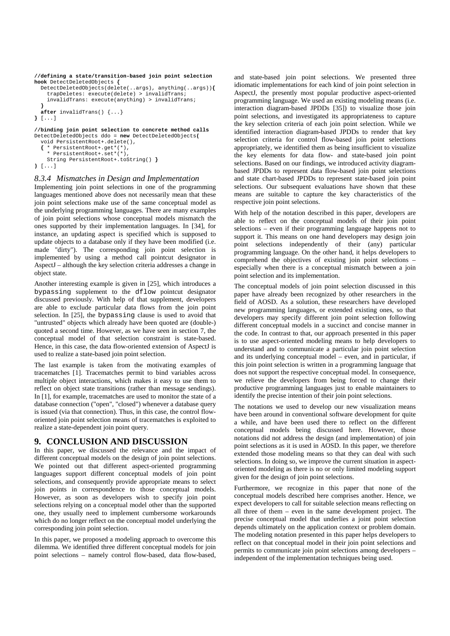```
//defining a state/transition-based join point selection
hook DetectDeletedObjects {
   DetectDeletedObjects(delete(..args), anything(..args)){
     trapDeletes: execute(delete) > invalidTrans;
     invalidTrans: execute(anything) > invalidTrans;
   }
   after invalidTrans() {...}
} [...]
//binding join point selection to concrete method calls
```
DetectDeletedObjects ddo = **new** DetectDeletedObjects**(** void PersistentRoot+.delete(),

```
 { * PersistentRoot+.get*(*),
```

```
 * PersistentRoot+.set*(*),
    String PersistentRoot+.toString() }
) [...]
```
# *8.3.4 Mismatches in Design and Implementation*

Implementing join point selections in one of the programming languages mentioned above does not necessarily mean that these join point selections make use of the same conceptual model as the underlying programming languages. There are many examples of join point selections whose conceptual models mismatch the ones supported by their implementation languages. In [34], for instance, an updating aspect is specified which is supposed to update objects to a database only if they have been modified (i.e. made "dirty"). The corresponding join point selection is implemented by using a method call pointcut designator in AspectJ – although the key selection criteria addresses a change in object state.

Another interesting example is given in [25], which introduces a bypassing supplement to the dflow pointcut designator discussed previously. With help of that supplement, developers are able to exclude particular data flows from the join point selection. In [25], the bypassing clause is used to avoid that "untrusted" objects which already have been quoted are (double-) quoted a second time. However, as we have seen in section 7, the conceptual model of that selection constraint is state-based. Hence, in this case, the data flow-oriented extension of AspectJ is used to realize a state-based join point selection.

The last example is taken from the motivating examples of tracematches [1]. Tracematches permit to bind variables across multiple object interactions, which makes it easy to use them to reflect on object state transitions (rather than message sendings). In [1], for example, tracematches are used to monitor the state of a database connection ("open", "closed") whenever a database query is issued (via that connection). Thus, in this case, the control floworiented join point selection means of tracematches is exploited to realize a state-dependent join point query.

# **9. CONCLUSION AND DISCUSSION**

In this paper, we discussed the relevance and the impact of different conceptual models on the design of join point selections. We pointed out that different aspect-oriented programming languages support different conceptual models of join point selections, and consequently provide appropriate means to select join points in correspondence to those conceptual models. However, as soon as developers wish to specify join point selections relying on a conceptual model other than the supported one, they usually need to implement cumbersome workarounds which do no longer reflect on the conceptual model underlying the corresponding join point selection.

In this paper, we proposed a modeling approach to overcome this dilemma. We identified three different conceptual models for join point selections – namely control flow-based, data flow-based,

and state-based join point selections. We presented three idiomatic implementations for each kind of join point selection in AspectJ, the presently most popular productive aspect-oriented programming language. We used an existing modeling means (i.e. interaction diagram-based JPDDs [35]) to visualize those join point selections, and investigated its appropriateness to capture the key selection criteria of each join point selection. While we identified interaction diagram-based JPDDs to render that key selection criteria for control flow-based join point selections appropriately, we identified them as being insufficient to visualize the key elements for data flow- and state-based join point selections. Based on our findings, we introduced activity diagrambased JPDDs to represent data flow-based join point selections and state chart-based JPDDs to represent state-based join point selections. Our subsequent evaluations have shown that these means are suitable to capture the key characteristics of the respective join point selections.

With help of the notation described in this paper, developers are able to reflect on the conceptual models of their join point selections – even if their programming language happens not to support it. This means on one hand developers may design join point selections independently of their (any) particular programming language. On the other hand, it helps developers to comprehend the objectives of existing join point selections – especially when there is a conceptual mismatch between a join point selection and its implementation.

The conceptual models of join point selection discussed in this paper have already been recognized by other researchers in the field of AOSD. As a solution, these researchers have developed new programming languages, or extended existing ones, so that developers may specify different join point selection following different conceptual models in a succinct and concise manner in the code. In contrast to that, our approach presented in this paper is to use aspect-oriented modeling means to help developers to understand and to communicate a particular join point selection and its underlying conceptual model – even, and in particular, if this join point selection is written in a programming language that does not support the respective conceptual model. In consequence, we relieve the developers from being forced to change their productive programming languages just to enable maintainers to identify the precise intention of their join point selections.

The notations we used to develop our new visualization means have been around in conventional software development for quite a while, and have been used there to reflect on the different conceptual models being discussed here. However, those notations did not address the design (and implementation) of join point selections as it is used in AOSD. In this paper, we therefore extended those modeling means so that they can deal with such selections. In doing so, we improve the current situation in aspectoriented modeling as there is no or only limited modeling support given for the design of join point selections.

Furthermore, we recognize in this paper that none of the conceptual models described here comprises another. Hence, we expect developers to call for suitable selection means reflecting on all three of them – even in the same development project. The precise conceptual model that underlies a joint point selection depends ultimately on the application context or problem domain. The modeling notation presented in this paper helps developers to reflect on that conceptual model in their join point selections and permits to communicate join point selections among developers – independent of the implementation techniques being used.